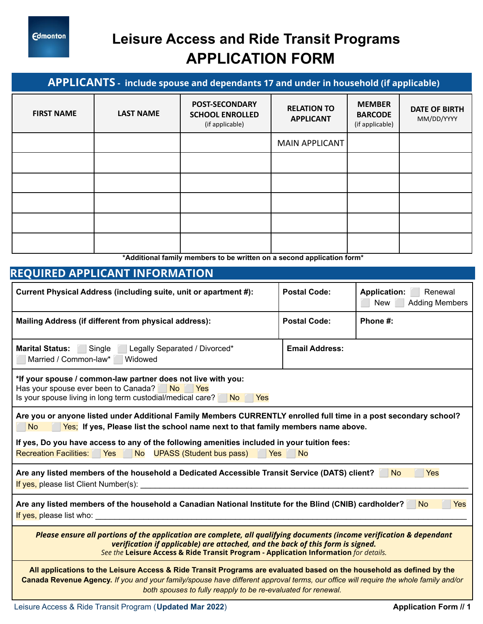

# **Leisure Access and Ride Transit Programs APPLICATION FORM**

## **APPLICANTS - include spouse and dependants 17 and under in household (if applicable)**

| <b>FIRST NAME</b> | <b>LAST NAME</b> | <b>POST-SECONDARY</b><br><b>SCHOOL ENROLLED</b><br>(if applicable) | <b>RELATION TO</b><br><b>APPLICANT</b> | <b>MEMBER</b><br><b>BARCODE</b><br>(if applicable) | <b>DATE OF BIRTH</b><br>MM/DD/YYYY |
|-------------------|------------------|--------------------------------------------------------------------|----------------------------------------|----------------------------------------------------|------------------------------------|
|                   |                  |                                                                    | <b>MAIN APPLICANT</b>                  |                                                    |                                    |
|                   |                  |                                                                    |                                        |                                                    |                                    |
|                   |                  |                                                                    |                                        |                                                    |                                    |
|                   |                  |                                                                    |                                        |                                                    |                                    |
|                   |                  |                                                                    |                                        |                                                    |                                    |
|                   |                  |                                                                    |                                        |                                                    |                                    |

**\*Additional family members to be written on a second application form\***

### **REQUIRED APPLICANT INFORMATION**

| Current Physical Address (including suite, unit or apartment #):                                                                                                                                                                                                                                                                                                            | <b>Postal Code:</b> | <b>Application:</b><br>Renewal<br><b>Adding Members</b><br>New |  |  |  |
|-----------------------------------------------------------------------------------------------------------------------------------------------------------------------------------------------------------------------------------------------------------------------------------------------------------------------------------------------------------------------------|---------------------|----------------------------------------------------------------|--|--|--|
| Mailing Address (if different from physical address):                                                                                                                                                                                                                                                                                                                       | <b>Postal Code:</b> | Phone #:                                                       |  |  |  |
| Single<br>Legally Separated / Divorced*<br><b>Email Address:</b><br><b>Marital Status:</b><br>Married / Common-law*<br>Widowed                                                                                                                                                                                                                                              |                     |                                                                |  |  |  |
| *If your spouse / common-law partner does not live with you:<br>Has your spouse ever been to Canada? No Yes<br>Is your spouse living in long term custodial/medical care? No<br>Yes                                                                                                                                                                                         |                     |                                                                |  |  |  |
| Are you or anyone listed under Additional Family Members CURRENTLY enrolled full time in a post secondary school?<br>Yes; If yes, Please list the school name next to that family members name above.<br>No<br>If yes, Do you have access to any of the following amenities included in your tuition fees:<br>Recreation Facilities: Yes No UPASS (Student bus pass) Yes No |                     |                                                                |  |  |  |
| Are any listed members of the household a Dedicated Accessible Transit Service (DATS) client?<br><b>No</b><br>Yes<br><mark>If yes, please list Client Number(s): www.community.com/www.community/interface/strategy/distribution/www.comm</mark>                                                                                                                            |                     |                                                                |  |  |  |
| Are any listed members of the household a Canadian National Institute for the Blind (CNIB) cardholder?<br>Yes<br><b>No</b><br>If yes, please list who:                                                                                                                                                                                                                      |                     |                                                                |  |  |  |
| Please ensure all portions of the application are complete, all qualifying documents (income verification & dependant<br>verification if applicable) are attached, and the back of this form is signed.<br>See the Leisure Access & Ride Transit Program - Application Information for details.                                                                             |                     |                                                                |  |  |  |
| All applications to the Leisure Access & Ride Transit Programs are evaluated based on the household as defined by the<br>Canada Revenue Agency. If you and your family/spouse have different approval terms, our office will require the whole family and/or<br>both spouses to fully reapply to be re-evaluated for renewal.                                               |                     |                                                                |  |  |  |